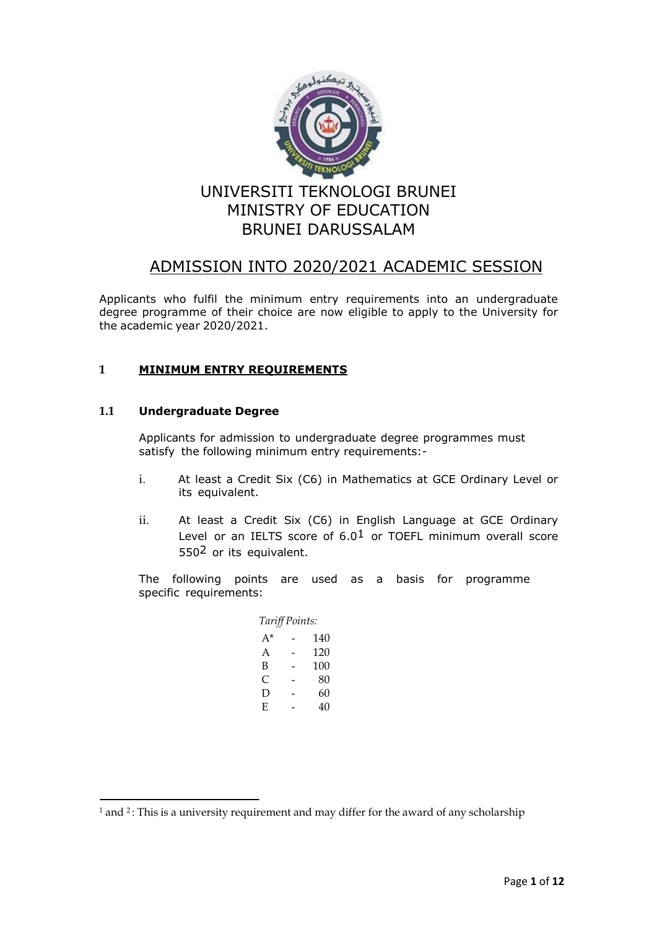

# ADMISSION INTO 2020/2021 ACADEMIC SESSION

Applicants who fulfil the minimum entry requirements into an undergraduate degree programme of their choice are now eligible to apply to the University for the academic year 2020/2021.

# **1 MINIMUM ENTRY REQUIREMENTS**

# **1.1 Undergraduate Degree**

Applicants for admission to undergraduate degree programmes must satisfy the following minimum entry requirements:-

- i. At least a Credit Six (C6) in Mathematics at GCE Ordinary Level or its equivalent.
- ii. At least a Credit Six (C6) in English Language at GCE Ordinary Level or an IELTS score of  $6.0<sup>1</sup>$  or TOEFL minimum overall score 5502 or its equivalent.

The following points are used as a basis for programme specific requirements:

| Tariff Points: |  |     |
|----------------|--|-----|
| A*             |  | 140 |
| A              |  | 120 |
| в              |  | 100 |
| C              |  | 80  |
| Ð              |  | 60  |
| E              |  | 40  |

 $^{\text{1}}$  and <sup>2</sup> : This is a university requirement and may differ for the award of any scholarship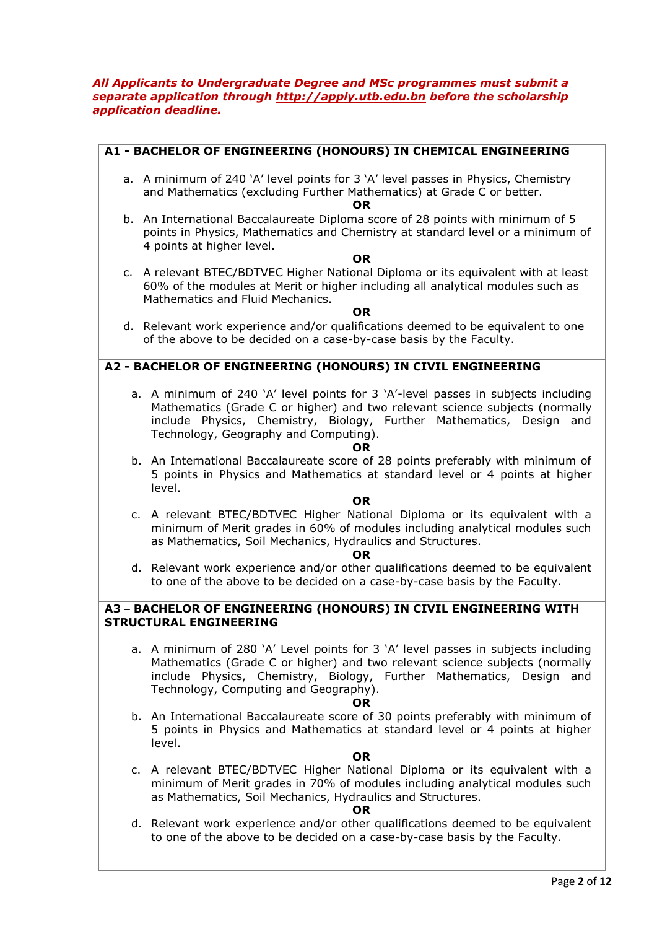### *All Applicants to Undergraduate Degree and MSc programmes must submit a separate application through http://apply.utb.edu.bn before the scholarship application deadline.*

| A1 - BACHELOR OF ENGINEERING (HONOURS) IN CHEMICAL ENGINEERING                                                                                                                                                                                                                                 |
|------------------------------------------------------------------------------------------------------------------------------------------------------------------------------------------------------------------------------------------------------------------------------------------------|
| a. A minimum of 240 'A' level points for 3 'A' level passes in Physics, Chemistry<br>and Mathematics (excluding Further Mathematics) at Grade C or better.<br>OR.                                                                                                                              |
| b. An International Baccalaureate Diploma score of 28 points with minimum of 5<br>points in Physics, Mathematics and Chemistry at standard level or a minimum of<br>4 points at higher level.<br><b>OR</b>                                                                                     |
| c. A relevant BTEC/BDTVEC Higher National Diploma or its equivalent with at least<br>60% of the modules at Merit or higher including all analytical modules such as<br>Mathematics and Fluid Mechanics.<br><b>OR</b>                                                                           |
| d. Relevant work experience and/or qualifications deemed to be equivalent to one<br>of the above to be decided on a case-by-case basis by the Faculty.                                                                                                                                         |
| A2 - BACHELOR OF ENGINEERING (HONOURS) IN CIVIL ENGINEERING                                                                                                                                                                                                                                    |
| a. A minimum of 240 'A' level points for 3 'A'-level passes in subjects including<br>Mathematics (Grade C or higher) and two relevant science subjects (normally<br>include Physics, Chemistry, Biology, Further Mathematics, Design and<br>Technology, Geography and Computing).<br><b>OR</b> |
| b. An International Baccalaureate score of 28 points preferably with minimum of<br>5 points in Physics and Mathematics at standard level or 4 points at higher<br>level.<br><b>OR</b>                                                                                                          |
| c. A relevant BTEC/BDTVEC Higher National Diploma or its equivalent with a<br>minimum of Merit grades in 60% of modules including analytical modules such<br>as Mathematics, Soil Mechanics, Hydraulics and Structures.<br>OR.                                                                 |
| d. Relevant work experience and/or other qualifications deemed to be equivalent<br>to one of the above to be decided on a case-by-case basis by the Faculty.                                                                                                                                   |
| A3 - BACHELOR OF ENGINEERING (HONOURS) IN CIVIL ENGINEERING WITH<br><b>STRUCTURAL ENGINEERING</b>                                                                                                                                                                                              |
| a. A minimum of 280 'A' Level points for 3 'A' level passes in subjects including<br>Mathematics (Grade C or higher) and two relevant science subjects (normally<br>include Physics, Chemistry, Biology, Further Mathematics, Design and<br>Technology, Computing and Geography).<br>OR        |
| b. An International Baccalaureate score of 30 points preferably with minimum of<br>5 points in Physics and Mathematics at standard level or 4 points at higher<br>level.<br><b>OR</b>                                                                                                          |
| c. A relevant BTEC/BDTVEC Higher National Diploma or its equivalent with a<br>minimum of Merit grades in 70% of modules including analytical modules such<br>as Mathematics, Soil Mechanics, Hydraulics and Structures.<br>OR                                                                  |
| d. Relevant work experience and/or other qualifications deemed to be equivalent                                                                                                                                                                                                                |

to one of the above to be decided on a case-by-case basis by the Faculty.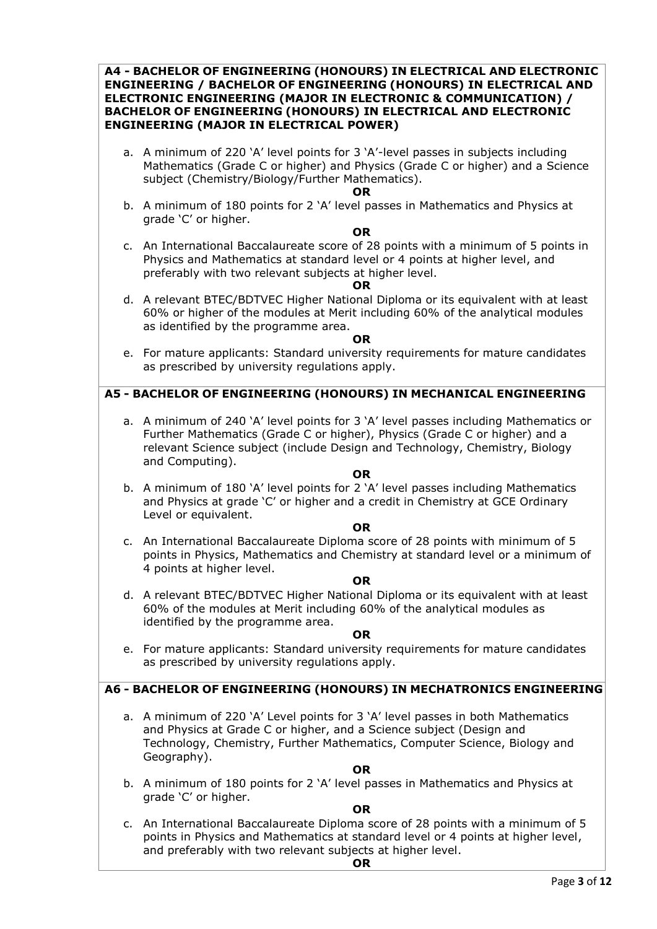**A4 - BACHELOR OF ENGINEERING (HONOURS) IN ELECTRICAL AND ELECTRONIC ENGINEERING / BACHELOR OF ENGINEERING (HONOURS) IN ELECTRICAL AND ELECTRONIC ENGINEERING (MAJOR IN ELECTRONIC & COMMUNICATION) / BACHELOR OF ENGINEERING (HONOURS) IN ELECTRICAL AND ELECTRONIC ENGINEERING (MAJOR IN ELECTRICAL POWER)**

a. A minimum of 220 'A' level points for 3 'A'-level passes in subjects including Mathematics (Grade C or higher) and Physics (Grade C or higher) and a Science subject (Chemistry/Biology/Further Mathematics).

#### **OR**

b. A minimum of 180 points for 2 'A' level passes in Mathematics and Physics at grade 'C' or higher.

#### **OR**

c. An International Baccalaureate score of 28 points with a minimum of 5 points in Physics and Mathematics at standard level or 4 points at higher level, and preferably with two relevant subjects at higher level.

#### **OR**

d. A relevant BTEC/BDTVEC Higher National Diploma or its equivalent with at least 60% or higher of the modules at Merit including 60% of the analytical modules as identified by the programme area.

#### **OR**

e. For mature applicants: Standard university requirements for mature candidates as prescribed by university regulations apply.

# **A5 - BACHELOR OF ENGINEERING (HONOURS) IN MECHANICAL ENGINEERING**

a. A minimum of 240 'A' level points for 3 'A' level passes including Mathematics or Further Mathematics (Grade C or higher), Physics (Grade C or higher) and a relevant Science subject (include Design and Technology, Chemistry, Biology and Computing).

### **OR**

b. A minimum of 180 'A' level points for 2 'A' level passes including Mathematics and Physics at grade 'C' or higher and a credit in Chemistry at GCE Ordinary Level or equivalent.

#### **OR**

c. An International Baccalaureate Diploma score of 28 points with minimum of 5 points in Physics, Mathematics and Chemistry at standard level or a minimum of 4 points at higher level.

### **OR**

d. A relevant BTEC/BDTVEC Higher National Diploma or its equivalent with at least 60% of the modules at Merit including 60% of the analytical modules as identified by the programme area.

### **OR**

e. For mature applicants: Standard university requirements for mature candidates as prescribed by university regulations apply.

### **A6 - BACHELOR OF ENGINEERING (HONOURS) IN MECHATRONICS ENGINEERING**

a. A minimum of 220 'A' Level points for 3 'A' level passes in both Mathematics and Physics at Grade C or higher, and a Science subject (Design and Technology, Chemistry, Further Mathematics, Computer Science, Biology and Geography).

### **OR**

b. A minimum of 180 points for 2 'A' level passes in Mathematics and Physics at grade 'C' or higher.

**OR**

c. An International Baccalaureate Diploma score of 28 points with a minimum of 5 points in Physics and Mathematics at standard level or 4 points at higher level, and preferably with two relevant subjects at higher level.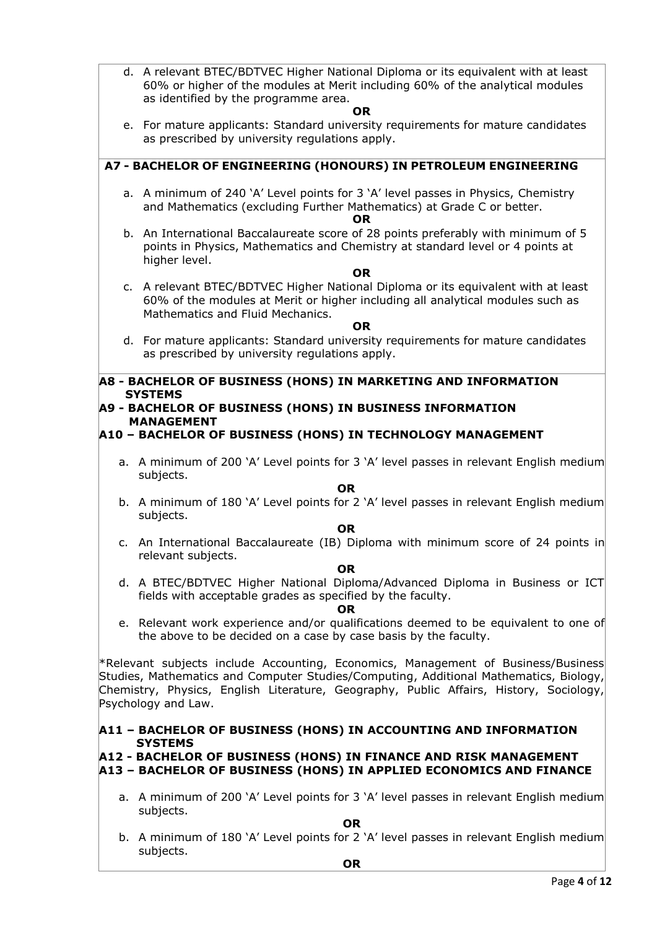d. A relevant BTEC/BDTVEC Higher National Diploma or its equivalent with at least 60% or higher of the modules at Merit including 60% of the analytical modules as identified by the programme area.

#### **OR**

e. For mature applicants: Standard university requirements for mature candidates as prescribed by university regulations apply.

# **A7 - BACHELOR OF ENGINEERING (HONOURS) IN PETROLEUM ENGINEERING**

a. A minimum of 240 'A' Level points for 3 'A' level passes in Physics, Chemistry and Mathematics (excluding Further Mathematics) at Grade C or better.

#### **OR**

b. An International Baccalaureate score of 28 points preferably with minimum of 5 points in Physics, Mathematics and Chemistry at standard level or 4 points at higher level.

#### **OR**

c. A relevant BTEC/BDTVEC Higher National Diploma or its equivalent with at least 60% of the modules at Merit or higher including all analytical modules such as Mathematics and Fluid Mechanics.

#### **OR**

d. For mature applicants: Standard university requirements for mature candidates as prescribed by university regulations apply.

### **A8 - BACHELOR OF BUSINESS (HONS) IN MARKETING AND INFORMATION SYSTEMS**

# **A9 - BACHELOR OF BUSINESS (HONS) IN BUSINESS INFORMATION MANAGEMENT**

# **A10 – BACHELOR OF BUSINESS (HONS) IN TECHNOLOGY MANAGEMENT**

a. A minimum of 200 'A' Level points for 3 'A' level passes in relevant English medium subjects.

### **OR**

b. A minimum of 180 'A' Level points for 2 'A' level passes in relevant English medium subjects.

### **OR**

c. An International Baccalaureate (IB) Diploma with minimum score of 24 points in relevant subjects.

### **OR**

d. A BTEC/BDTVEC Higher National Diploma/Advanced Diploma in Business or ICT fields with acceptable grades as specified by the faculty.

#### **OR**

e. Relevant work experience and/or qualifications deemed to be equivalent to one of the above to be decided on a case by case basis by the faculty.

\*Relevant subjects include Accounting, Economics, Management of Business/Business Studies, Mathematics and Computer Studies/Computing, Additional Mathematics, Biology, Chemistry, Physics, English Literature, Geography, Public Affairs, History, Sociology, Psychology and Law.

## **A11 – BACHELOR OF BUSINESS (HONS) IN ACCOUNTING AND INFORMATION SYSTEMS**

# **A12 - BACHELOR OF BUSINESS (HONS) IN FINANCE AND RISK MANAGEMENT**

# **A13 – BACHELOR OF BUSINESS (HONS) IN APPLIED ECONOMICS AND FINANCE**

a. A minimum of 200 'A' Level points for 3 'A' level passes in relevant English medium subjects.

**OR**

b. A minimum of 180 'A' Level points for 2 'A' level passes in relevant English medium subjects.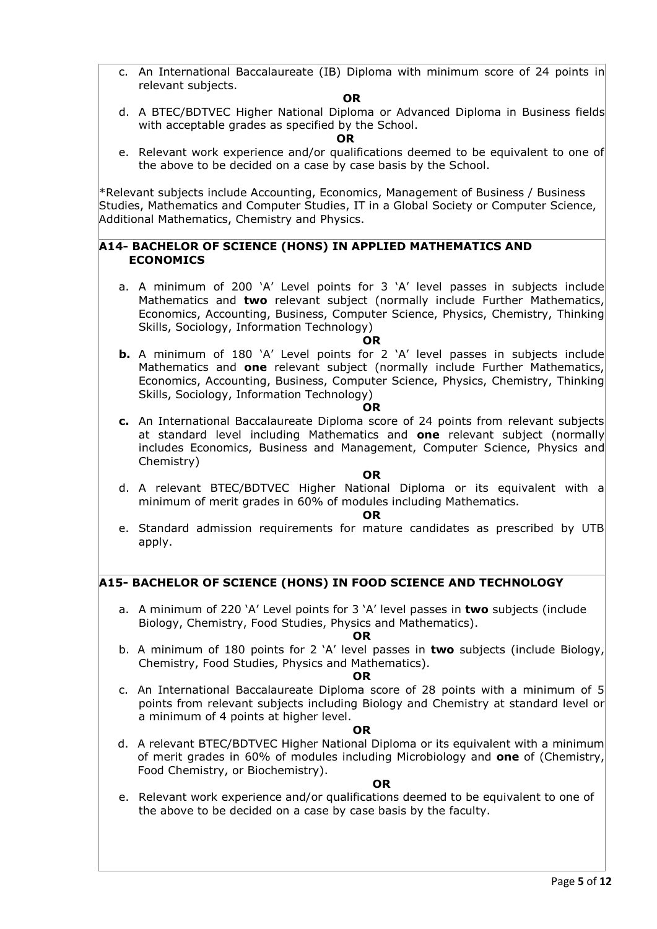c. An International Baccalaureate (IB) Diploma with minimum score of 24 points in relevant subjects.

#### **OR**

d. A BTEC/BDTVEC Higher National Diploma or Advanced Diploma in Business fields with acceptable grades as specified by the School.

#### *OR* **OR**

e. Relevant work experience and/or qualifications deemed to be equivalent to one of the above to be decided on a case by case basis by the School.

\*Relevant subjects include Accounting, Economics, Management of Business / Business Studies, Mathematics and Computer Studies, IT in a Global Society or Computer Science, Additional Mathematics, Chemistry and Physics.

### **A14- BACHELOR OF SCIENCE (HONS) IN APPLIED MATHEMATICS AND ECONOMICS**

a. A minimum of 200 'A' Level points for 3 'A' level passes in subjects include Mathematics and **two** relevant subject (normally include Further Mathematics, Economics, Accounting, Business, Computer Science, Physics, Chemistry, Thinking Skills, Sociology, Information Technology)

### **OR**

**b.** A minimum of 180 'A' Level points for 2 'A' level passes in subjects include Mathematics and **one** relevant subject (normally include Further Mathematics, Economics, Accounting, Business, Computer Science, Physics, Chemistry, Thinking Skills, Sociology, Information Technology)

#### **OR**

**c.** An International Baccalaureate Diploma score of 24 points from relevant subjects at standard level including Mathematics and **one** relevant subject (normally includes Economics, Business and Management, Computer Science, Physics and Chemistry)

### **OR**

d. A relevant BTEC/BDTVEC Higher National Diploma or its equivalent with a minimum of merit grades in 60% of modules including Mathematics.

#### **OR**

e. Standard admission requirements for mature candidates as prescribed by UTB apply.

### **A15- BACHELOR OF SCIENCE (HONS) IN FOOD SCIENCE AND TECHNOLOGY**

a. A minimum of 220 'A' Level points for 3 'A' level passes in **two** subjects (include Biology, Chemistry, Food Studies, Physics and Mathematics).

#### **OR**

b. A minimum of 180 points for 2 'A' level passes in **two** subjects (include Biology, Chemistry, Food Studies, Physics and Mathematics).

#### **OR**

c. An International Baccalaureate Diploma score of 28 points with a minimum of 5 points from relevant subjects including Biology and Chemistry at standard level or a minimum of 4 points at higher level.

### **OR**

d. A relevant BTEC/BDTVEC Higher National Diploma or its equivalent with a minimum of merit grades in 60% of modules including Microbiology and **one** of (Chemistry, Food Chemistry, or Biochemistry).

#### **OR**

e. Relevant work experience and/or qualifications deemed to be equivalent to one of the above to be decided on a case by case basis by the faculty.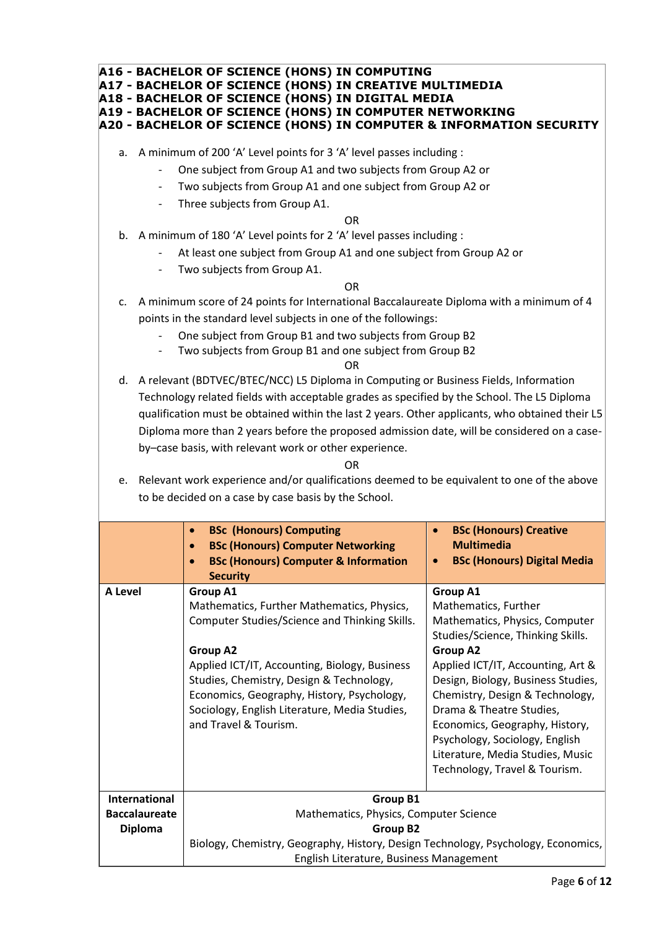|                                                                                                                                                                                                                                                                                                                                                                                                                                                                                                                                                                                                                                 |                                                                                                                                                                                            | A16 - BACHELOR OF SCIENCE (HONS) IN COMPUTING<br>A17 - BACHELOR OF SCIENCE (HONS) IN CREATIVE MULTIMEDIA<br>A18 - BACHELOR OF SCIENCE (HONS) IN DIGITAL MEDIA<br><b>A19 - BACHELOR OF SCIENCE (HONS) IN COMPUTER NETWORKING</b><br>A20 - BACHELOR OF SCIENCE (HONS) IN COMPUTER & INFORMATION SECURITY                                                 |                                                                                                                                                                                                                                                                                                                                                                                                               |  |  |  |  |
|---------------------------------------------------------------------------------------------------------------------------------------------------------------------------------------------------------------------------------------------------------------------------------------------------------------------------------------------------------------------------------------------------------------------------------------------------------------------------------------------------------------------------------------------------------------------------------------------------------------------------------|--------------------------------------------------------------------------------------------------------------------------------------------------------------------------------------------|--------------------------------------------------------------------------------------------------------------------------------------------------------------------------------------------------------------------------------------------------------------------------------------------------------------------------------------------------------|---------------------------------------------------------------------------------------------------------------------------------------------------------------------------------------------------------------------------------------------------------------------------------------------------------------------------------------------------------------------------------------------------------------|--|--|--|--|
|                                                                                                                                                                                                                                                                                                                                                                                                                                                                                                                                                                                                                                 | $\overline{\phantom{a}}$                                                                                                                                                                   | a. A minimum of 200 'A' Level points for 3 'A' level passes including :<br>One subject from Group A1 and two subjects from Group A2 or<br>Two subjects from Group A1 and one subject from Group A2 or<br>Three subjects from Group A1.                                                                                                                 |                                                                                                                                                                                                                                                                                                                                                                                                               |  |  |  |  |
|                                                                                                                                                                                                                                                                                                                                                                                                                                                                                                                                                                                                                                 | <b>OR</b><br>b. A minimum of 180 'A' Level points for 2 'A' level passes including :<br>At least one subject from Group A1 and one subject from Group A2 or<br>Two subjects from Group A1. |                                                                                                                                                                                                                                                                                                                                                        |                                                                                                                                                                                                                                                                                                                                                                                                               |  |  |  |  |
| <b>OR</b><br>A minimum score of 24 points for International Baccalaureate Diploma with a minimum of 4<br>c.<br>points in the standard level subjects in one of the followings:<br>One subject from Group B1 and two subjects from Group B2<br>Two subjects from Group B1 and one subject from Group B2                                                                                                                                                                                                                                                                                                                          |                                                                                                                                                                                            |                                                                                                                                                                                                                                                                                                                                                        |                                                                                                                                                                                                                                                                                                                                                                                                               |  |  |  |  |
| <b>OR</b><br>d. A relevant (BDTVEC/BTEC/NCC) L5 Diploma in Computing or Business Fields, Information<br>Technology related fields with acceptable grades as specified by the School. The L5 Diploma<br>qualification must be obtained within the last 2 years. Other applicants, who obtained their L5<br>Diploma more than 2 years before the proposed admission date, will be considered on a case-<br>by-case basis, with relevant work or other experience.<br>OR.<br>e. Relevant work experience and/or qualifications deemed to be equivalent to one of the above<br>to be decided on a case by case basis by the School. |                                                                                                                                                                                            |                                                                                                                                                                                                                                                                                                                                                        |                                                                                                                                                                                                                                                                                                                                                                                                               |  |  |  |  |
|                                                                                                                                                                                                                                                                                                                                                                                                                                                                                                                                                                                                                                 |                                                                                                                                                                                            | <b>BSc (Honours) Computing</b><br><b>BSc (Honours) Computer Networking</b><br><b>BSc (Honours) Computer &amp; Information</b><br><b>Security</b>                                                                                                                                                                                                       | <b>BSc (Honours) Creative</b><br>$\bullet$<br><b>Multimedia</b><br><b>BSc (Honours) Digital Media</b>                                                                                                                                                                                                                                                                                                         |  |  |  |  |
| A Level                                                                                                                                                                                                                                                                                                                                                                                                                                                                                                                                                                                                                         |                                                                                                                                                                                            | <b>Group A1</b><br>Mathematics, Further Mathematics, Physics,<br>Computer Studies/Science and Thinking Skills.<br><b>Group A2</b><br>Applied ICT/IT, Accounting, Biology, Business<br>Studies, Chemistry, Design & Technology,<br>Economics, Geography, History, Psychology,<br>Sociology, English Literature, Media Studies,<br>and Travel & Tourism. | Group A1<br>Mathematics, Further<br>Mathematics, Physics, Computer<br>Studies/Science, Thinking Skills.<br><b>Group A2</b><br>Applied ICT/IT, Accounting, Art &<br>Design, Biology, Business Studies,<br>Chemistry, Design & Technology,<br>Drama & Theatre Studies,<br>Economics, Geography, History,<br>Psychology, Sociology, English<br>Literature, Media Studies, Music<br>Technology, Travel & Tourism. |  |  |  |  |
|                                                                                                                                                                                                                                                                                                                                                                                                                                                                                                                                                                                                                                 | <b>International</b><br><b>Baccalaureate</b><br><b>Diploma</b>                                                                                                                             | <b>Group B1</b><br>Mathematics, Physics, Computer Science<br><b>Group B2</b>                                                                                                                                                                                                                                                                           |                                                                                                                                                                                                                                                                                                                                                                                                               |  |  |  |  |

Biology, Chemistry, Geography, History, Design Technology, Psychology, Economics, English Literature, Business Management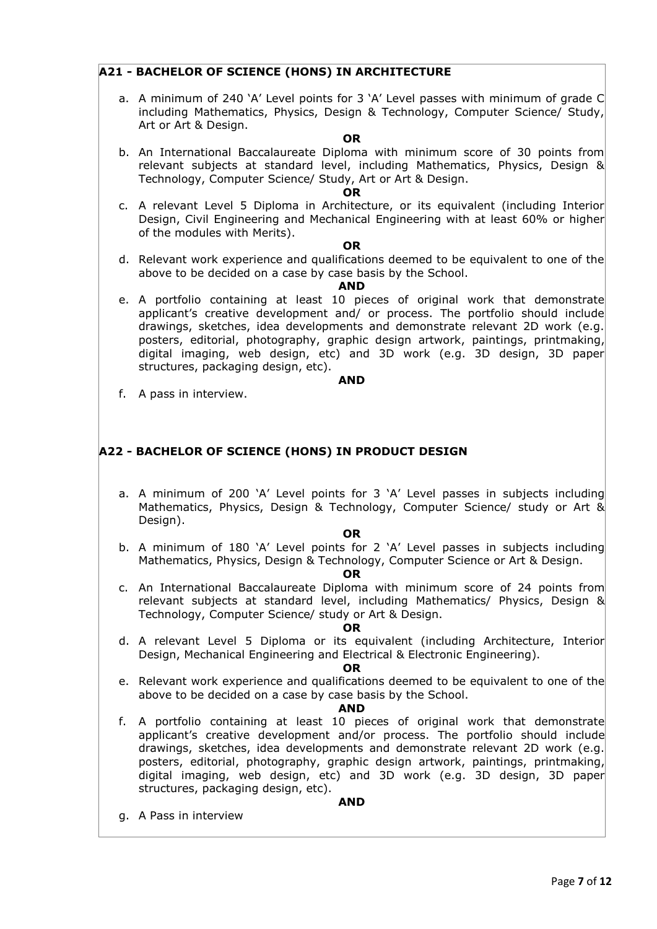# **A21 - BACHELOR OF SCIENCE (HONS) IN ARCHITECTURE**

a. A minimum of 240 'A' Level points for 3 'A' Level passes with minimum of grade C including Mathematics, Physics, Design & Technology, Computer Science/ Study, Art or Art & Design.

#### **OR**

b. An International Baccalaureate Diploma with minimum score of 30 points from relevant subjects at standard level, including Mathematics, Physics, Design & Technology, Computer Science/ Study, Art or Art & Design.

#### **OR**

c. A relevant Level 5 Diploma in Architecture, or its equivalent (including Interior Design, Civil Engineering and Mechanical Engineering with at least 60% or higher of the modules with Merits).

#### **OR**

d. Relevant work experience and qualifications deemed to be equivalent to one of the above to be decided on a case by case basis by the School.

#### **AND**

e. A portfolio containing at least 10 pieces of original work that demonstrate applicant's creative development and/ or process. The portfolio should include drawings, sketches, idea developments and demonstrate relevant 2D work (e.g. posters, editorial, photography, graphic design artwork, paintings, printmaking, digital imaging, web design, etc) and 3D work (e.g. 3D design, 3D paper structures, packaging design, etc).

#### **AND**

f. A pass in interview.

## **A22 - BACHELOR OF SCIENCE (HONS) IN PRODUCT DESIGN**

a. A minimum of 200 'A' Level points for 3 'A' Level passes in subjects including Mathematics, Physics, Design & Technology, Computer Science/ study or Art & Design).

#### **OR**

b. A minimum of 180 'A' Level points for 2 'A' Level passes in subjects including Mathematics, Physics, Design & Technology, Computer Science or Art & Design.

### **OR**

c. An International Baccalaureate Diploma with minimum score of 24 points from relevant subjects at standard level, including Mathematics/ Physics, Design & Technology, Computer Science/ study or Art & Design.

#### **OR**

d. A relevant Level 5 Diploma or its equivalent (including Architecture, Interior Design, Mechanical Engineering and Electrical & Electronic Engineering).

#### **OR**

e. Relevant work experience and qualifications deemed to be equivalent to one of the above to be decided on a case by case basis by the School.

#### **AND**

f. A portfolio containing at least 10 pieces of original work that demonstrate applicant's creative development and/or process. The portfolio should include drawings, sketches, idea developments and demonstrate relevant 2D work (e.g. posters, editorial, photography, graphic design artwork, paintings, printmaking, digital imaging, web design, etc) and 3D work (e.g. 3D design, 3D paper structures, packaging design, etc).

#### **AND**

g. A Pass in interview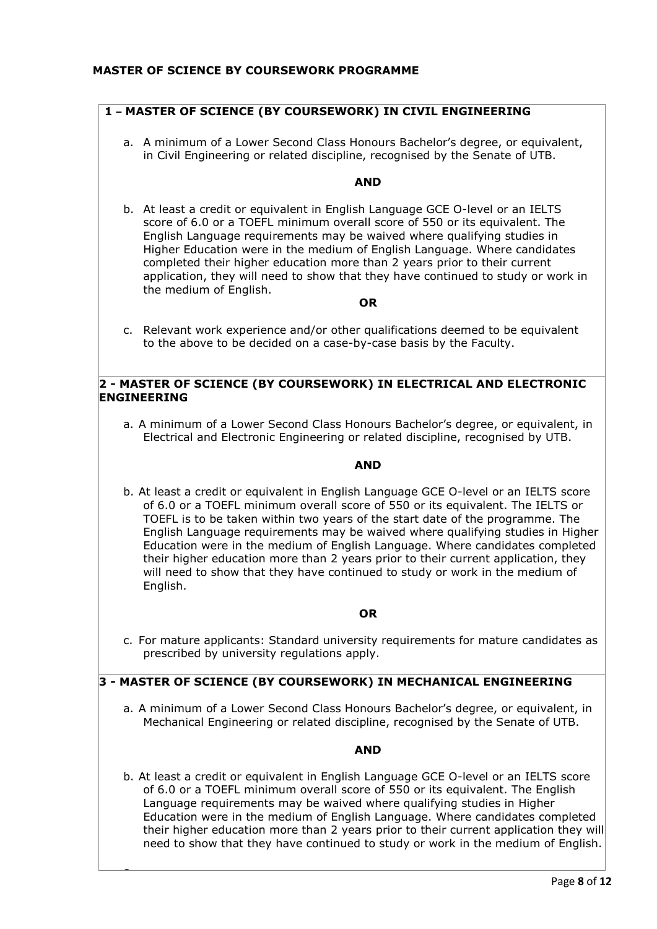# **1 – MASTER OF SCIENCE (BY COURSEWORK) IN CIVIL ENGINEERING**

a. A minimum of a Lower Second Class Honours Bachelor's degree, or equivalent, in Civil Engineering or related discipline, recognised by the Senate of UTB.

### **AND**

b. At least a credit or equivalent in English Language GCE O-level or an IELTS score of 6.0 or a TOEFL minimum overall score of 550 or its equivalent. The English Language requirements may be waived where qualifying studies in Higher Education were in the medium of English Language. Where candidates completed their higher education more than 2 years prior to their current application, they will need to show that they have continued to study or work in the medium of English.

#### **OR**

c. Relevant work experience and/or other qualifications deemed to be equivalent to the above to be decided on a case-by-case basis by the Faculty.

# **2 - MASTER OF SCIENCE (BY COURSEWORK) IN ELECTRICAL AND ELECTRONIC ENGINEERING**

a. A minimum of a Lower Second Class Honours Bachelor's degree, or equivalent, in Electrical and Electronic Engineering or related discipline, recognised by UTB.

### **AND**

b. At least a credit or equivalent in English Language GCE O-level or an IELTS score of 6.0 or a TOEFL minimum overall score of 550 or its equivalent. The IELTS or TOEFL is to be taken within two years of the start date of the programme. The English Language requirements may be waived where qualifying studies in Higher Education were in the medium of English Language. Where candidates completed their higher education more than 2 years prior to their current application, they will need to show that they have continued to study or work in the medium of English.

### **OR**

c. For mature applicants: Standard university requirements for mature candidates as prescribed by university regulations apply.

# **3 - MASTER OF SCIENCE (BY COURSEWORK) IN MECHANICAL ENGINEERING**

 $\overline{\phantom{0}}$ 

a. A minimum of a Lower Second Class Honours Bachelor's degree, or equivalent, in Mechanical Engineering or related discipline, recognised by the Senate of UTB.

### **AND**

b. At least a credit or equivalent in English Language GCE O-level or an IELTS score of 6.0 or a TOEFL minimum overall score of 550 or its equivalent. The English Language requirements may be waived where qualifying studies in Higher Education were in the medium of English Language. Where candidates completed their higher education more than 2 years prior to their current application they will need to show that they have continued to study or work in the medium of English.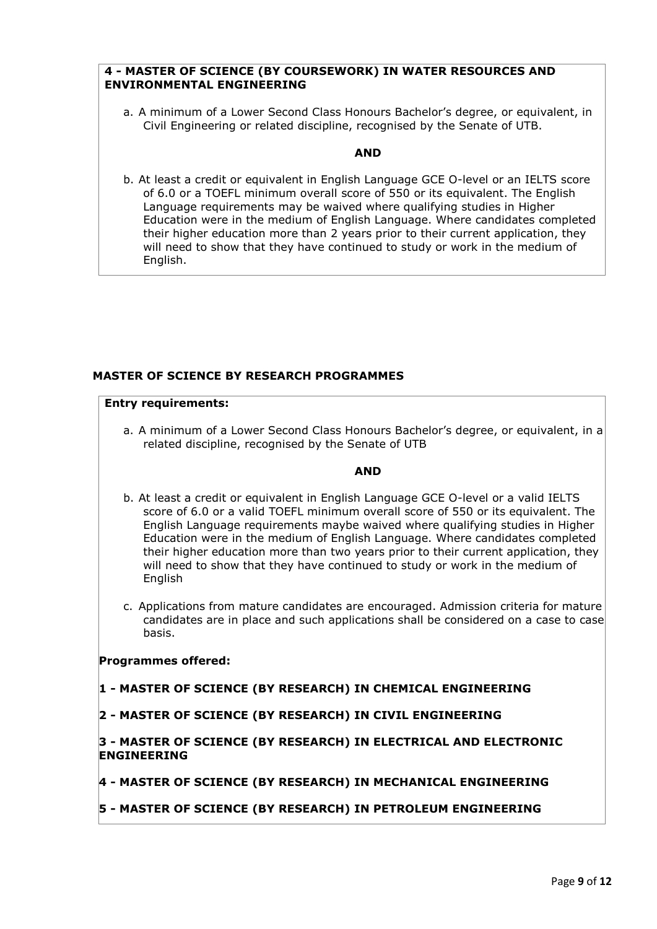# **4 - MASTER OF SCIENCE (BY COURSEWORK) IN WATER RESOURCES AND ENVIRONMENTAL ENGINEERING**

a. A minimum of a Lower Second Class Honours Bachelor's degree, or equivalent, in Civil Engineering or related discipline, recognised by the Senate of UTB.

### **AND**

b. At least a credit or equivalent in English Language GCE O-level or an IELTS score of 6.0 or a TOEFL minimum overall score of 550 or its equivalent. The English Language requirements may be waived where qualifying studies in Higher Education were in the medium of English Language. Where candidates completed their higher education more than 2 years prior to their current application, they will need to show that they have continued to study or work in the medium of English.

## **MASTER OF SCIENCE BY RESEARCH PROGRAMMES**

### **Entry requirements:**

a. A minimum of a Lower Second Class Honours Bachelor's degree, or equivalent, in a related discipline, recognised by the Senate of UTB

### **AND**

- b. At least a credit or equivalent in English Language GCE O-level or a valid IELTS score of 6.0 or a valid TOEFL minimum overall score of 550 or its equivalent. The English Language requirements maybe waived where qualifying studies in Higher Education were in the medium of English Language. Where candidates completed their higher education more than two years prior to their current application, they will need to show that they have continued to study or work in the medium of **English**
- c. Applications from mature candidates are encouraged. Admission criteria for mature candidates are in place and such applications shall be considered on a case to case basis.

### **Programmes offered:**

- **1 - MASTER OF SCIENCE (BY RESEARCH) IN CHEMICAL ENGINEERING**
- **2 - MASTER OF SCIENCE (BY RESEARCH) IN CIVIL ENGINEERING**

### **3 - MASTER OF SCIENCE (BY RESEARCH) IN ELECTRICAL AND ELECTRONIC ENGINEERING**

- **4 - MASTER OF SCIENCE (BY RESEARCH) IN MECHANICAL ENGINEERING**
- **5 - MASTER OF SCIENCE (BY RESEARCH) IN PETROLEUM ENGINEERING**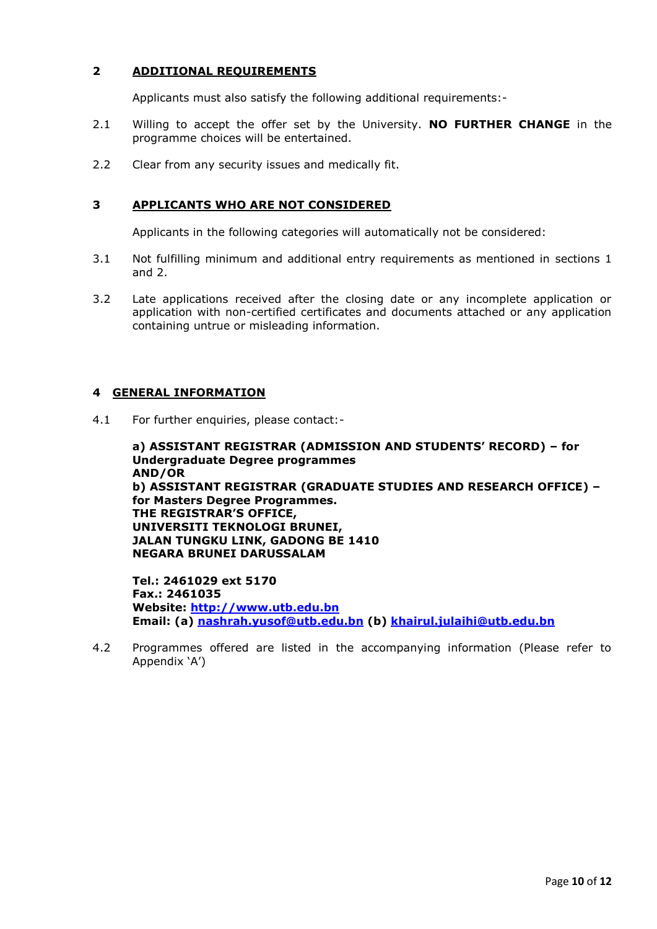# **2 ADDITIONAL REQUIREMENTS**

Applicants must also satisfy the following additional requirements:-

- 2.1 Willing to accept the offer set by the University. **NO FURTHER CHANGE** in the programme choices will be entertained.
- 2.2 Clear from any security issues and medically fit.

# **3 APPLICANTS WHO ARE NOT CONSIDERED**

Applicants in the following categories will automatically not be considered:

- 3.1 Not fulfilling minimum and additional entry requirements as mentioned in sections 1 and 2.
- 3.2 Late applications received after the closing date or any incomplete application or application with non-certified certificates and documents attached or any application containing untrue or misleading information.

# **4 GENERAL INFORMATION**

4.1 For further enquiries, please contact:-

**a) ASSISTANT REGISTRAR (ADMISSION AND STUDENTS' RECORD) – for Undergraduate Degree programmes AND/OR b) ASSISTANT REGISTRAR (GRADUATE STUDIES AND RESEARCH OFFICE) – for Masters Degree Programmes. THE REGISTRAR'S OFFICE, UNIVERSITI TEKNOLOGI BRUNEI, JALAN TUNGKU LINK, GADONG BE 1410 NEGARA BRUNEI DARUSSALAM**

**Tel.: 2461029 ext 5170 Fax.: 2461035 Website: [http://www.utb.edu.bn](http://www.utb.edu.bn/) Email: (a) [nashrah.yusof@utb.edu.bn](mailto:nashrah.yusof@utb.edu.bn) (b) [khairul.julaihi@utb.edu.bn](mailto:khairul.julaihi@utb.edu.bn)**

4.2 Programmes offered are listed in the accompanying information (Please refer to Appendix 'A')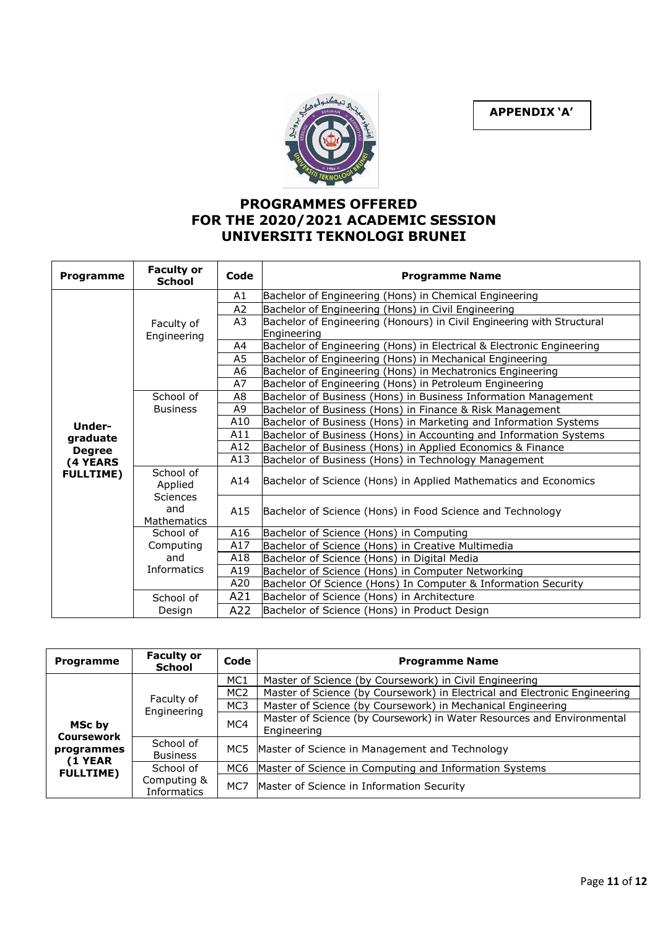**APPENDIX 'A'**



# **PROGRAMMES OFFERED FOR THE 2020/2021 ACADEMIC SESSION UNIVERSITI TEKNOLOGI BRUNEI**

| Programme                           | <b>Faculty or</b><br><b>School</b>                                                | Code           | <b>Programme Name</b>                                                  |
|-------------------------------------|-----------------------------------------------------------------------------------|----------------|------------------------------------------------------------------------|
|                                     |                                                                                   | A1             | Bachelor of Engineering (Hons) in Chemical Engineering                 |
|                                     |                                                                                   | A2             | Bachelor of Engineering (Hons) in Civil Engineering                    |
|                                     | Faculty of<br>Engineering                                                         | A3             | Bachelor of Engineering (Honours) in Civil Engineering with Structural |
|                                     |                                                                                   |                | Engineering                                                            |
|                                     |                                                                                   | A4             | Bachelor of Engineering (Hons) in Electrical & Electronic Engineering  |
|                                     |                                                                                   | A <sub>5</sub> | Bachelor of Engineering (Hons) in Mechanical Engineering               |
|                                     |                                                                                   | A6             | Bachelor of Engineering (Hons) in Mechatronics Engineering             |
|                                     |                                                                                   | A7             | Bachelor of Engineering (Hons) in Petroleum Engineering                |
|                                     | A8<br>School of<br>Bachelor of Business (Hons) in Business Information Management |                |                                                                        |
|                                     | <b>Business</b>                                                                   | A <sub>9</sub> | Bachelor of Business (Hons) in Finance & Risk Management               |
| Under-<br>graduate<br><b>Degree</b> |                                                                                   | A10            | Bachelor of Business (Hons) in Marketing and Information Systems       |
|                                     |                                                                                   | A11            | Bachelor of Business (Hons) in Accounting and Information Systems      |
|                                     |                                                                                   | A12            | Bachelor of Business (Hons) in Applied Economics & Finance             |
| (4 YEARS                            |                                                                                   | A13            | Bachelor of Business (Hons) in Technology Management                   |
| <b>FULLTIME)</b>                    | School of<br>Applied                                                              | A14            | Bachelor of Science (Hons) in Applied Mathematics and Economics        |
|                                     | <b>Sciences</b><br>and<br><b>Mathematics</b>                                      | A15            | Bachelor of Science (Hons) in Food Science and Technology              |
|                                     | School of                                                                         | A16            | Bachelor of Science (Hons) in Computing                                |
|                                     | Computing                                                                         | A17            | Bachelor of Science (Hons) in Creative Multimedia                      |
|                                     | and                                                                               | A18            | Bachelor of Science (Hons) in Digital Media                            |
|                                     | Informatics                                                                       | A19            | Bachelor of Science (Hons) in Computer Networking                      |
|                                     |                                                                                   | A20            | Bachelor Of Science (Hons) In Computer & Information Security          |
|                                     | School of                                                                         | A21            | Bachelor of Science (Hons) in Architecture                             |
|                                     | Design                                                                            | A22            | Bachelor of Science (Hons) in Product Design                           |

| Programme                                                                | <b>Faculty or</b><br><b>School</b> | Code            | <b>Programme Name</b>                                                                 |
|--------------------------------------------------------------------------|------------------------------------|-----------------|---------------------------------------------------------------------------------------|
| MSc by<br><b>Coursework</b><br>programmes<br>(1 YEAR<br><b>FULLTIME)</b> | Faculty of<br>Engineering          | MC <sub>1</sub> | Master of Science (by Coursework) in Civil Engineering                                |
|                                                                          |                                    | MC <sub>2</sub> | Master of Science (by Coursework) in Electrical and Electronic Engineering            |
|                                                                          |                                    | MC <sub>3</sub> | Master of Science (by Coursework) in Mechanical Engineering                           |
|                                                                          |                                    | MC4             | Master of Science (by Coursework) in Water Resources and Environmental<br>Engineering |
|                                                                          | School of<br><b>Business</b>       |                 | MC5 Master of Science in Management and Technology                                    |
|                                                                          | School of                          | MC6             | Master of Science in Computing and Information Systems                                |
|                                                                          | Computing &<br>Informatics         | MC7             | Master of Science in Information Security                                             |